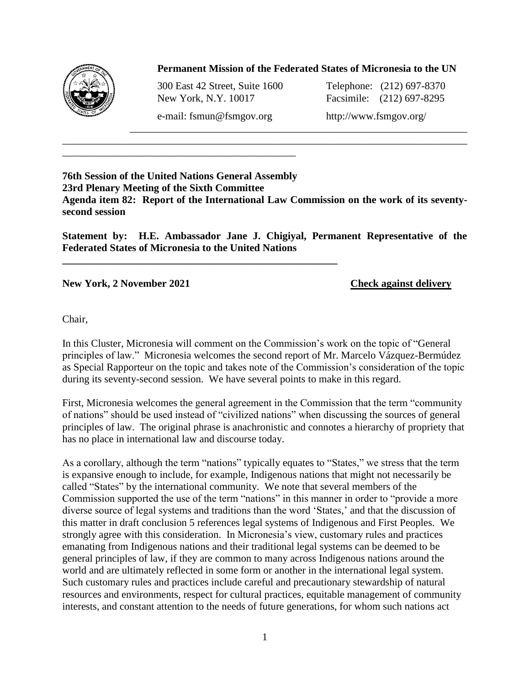

## **Permanent Mission of the Federated States of Micronesia to the UN**

\_\_\_\_\_\_\_\_\_\_\_\_\_\_\_\_\_\_\_\_\_\_\_\_\_\_\_\_\_\_\_\_\_\_\_\_\_\_\_\_\_\_\_\_\_\_\_\_\_\_\_\_\_\_\_\_\_\_\_\_\_\_\_\_\_

300 East 42 Street, Suite 1600 Telephone: (212) 697-8370 New York, N.Y. 10017 Facsimile: (212) 697-8295

\_\_\_\_\_\_\_\_\_\_\_\_\_\_\_\_\_\_\_\_\_\_\_\_\_\_\_\_\_\_\_\_\_\_\_\_\_\_\_\_\_\_\_\_\_

**\_\_\_\_\_\_\_\_\_\_\_\_\_\_\_\_\_\_\_\_\_\_\_\_\_\_\_\_\_\_\_\_\_\_\_\_\_\_\_\_\_\_\_\_\_\_\_\_\_\_\_\_\_**

e-mail: fsmun@fsmgov.org http://www.fsmgov.org/

## **76th Session of the United Nations General Assembly 23rd Plenary Meeting of the Sixth Committee Agenda item 82: Report of the International Law Commission on the work of its seventysecond session**

\_\_\_\_\_\_\_\_\_\_\_\_\_\_\_\_\_\_\_\_\_\_\_\_\_\_\_\_\_\_\_\_\_\_\_\_\_\_\_\_\_\_\_\_\_\_\_\_\_\_\_\_\_\_\_\_\_\_\_\_\_\_\_\_\_\_\_\_\_\_\_\_\_\_\_\_\_\_

**Statement by: H.E. Ambassador Jane J. Chigiyal, Permanent Representative of the Federated States of Micronesia to the United Nations**

**New York, 2 November 2021 Check against delivery**

Chair,

In this Cluster, Micronesia will comment on the Commission's work on the topic of "General principles of law." Micronesia welcomes the second report of Mr. Marcelo Vázquez-Bermúdez as Special Rapporteur on the topic and takes note of the Commission's consideration of the topic during its seventy-second session. We have several points to make in this regard.

First, Micronesia welcomes the general agreement in the Commission that the term "community of nations" should be used instead of "civilized nations" when discussing the sources of general principles of law. The original phrase is anachronistic and connotes a hierarchy of propriety that has no place in international law and discourse today.

As a corollary, although the term "nations" typically equates to "States," we stress that the term is expansive enough to include, for example, Indigenous nations that might not necessarily be called "States" by the international community. We note that several members of the Commission supported the use of the term "nations" in this manner in order to "provide a more diverse source of legal systems and traditions than the word 'States,' and that the discussion of this matter in draft conclusion 5 references legal systems of Indigenous and First Peoples. We strongly agree with this consideration. In Micronesia's view, customary rules and practices emanating from Indigenous nations and their traditional legal systems can be deemed to be general principles of law, if they are common to many across Indigenous nations around the world and are ultimately reflected in some form or another in the international legal system. Such customary rules and practices include careful and precautionary stewardship of natural resources and environments, respect for cultural practices, equitable management of community interests, and constant attention to the needs of future generations, for whom such nations act